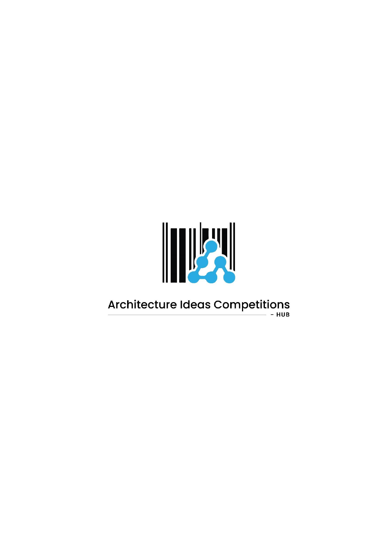

# Architecture Ideas Competitions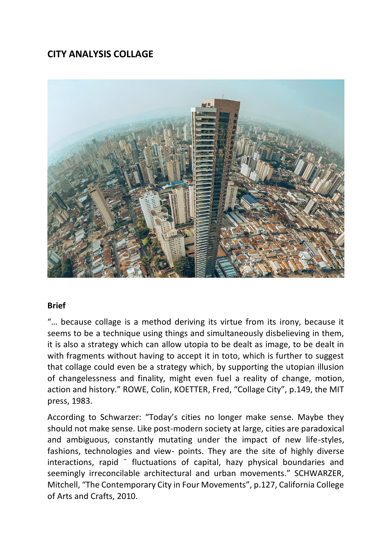## **CITY ANALYSIS COLLAGE**



## **Brief**

"… because collage is a method deriving its virtue from its irony, because it seems to be a technique using things and simultaneously disbelieving in them, it is also a strategy which can allow utopia to be dealt as image, to be dealt in with fragments without having to accept it in toto, which is further to suggest that collage could even be a strategy which, by supporting the utopian illusion of changelessness and finality, might even fuel a reality of change, motion, action and history." ROWE, Colin, KOETTER, Fred, "Collage City", p.149, the MIT press, 1983.

According to Schwarzer: "Today's cities no longer make sense. Maybe they should not make sense. Like post-modern society at large, cities are paradoxical and ambiguous, constantly mutating under the impact of new life-styles, fashions, technologies and view- points. They are the site of highly diverse interactions, rapid ¯ fluctuations of capital, hazy physical boundaries and seemingly irreconcilable architectural and urban movements." SCHWARZER, Mitchell, "The Contemporary City in Four Movements", p.127, California College of Arts and Crafts, 2010.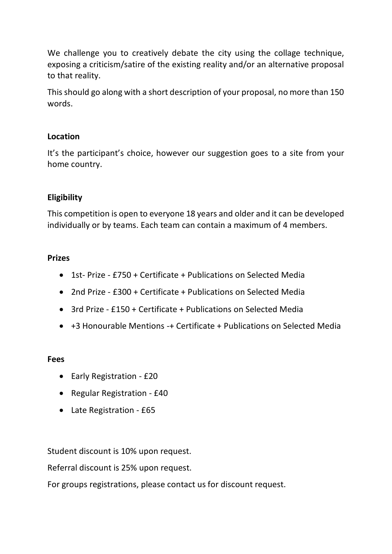We challenge you to creatively debate the city using the collage technique, exposing a criticism/satire of the existing reality and/or an alternative proposal to that reality.

This should go along with a short description of your proposal, no more than 150 words.

## **Location**

It's the participant's choice, however our suggestion goes to a site from your home country.

## **Eligibility**

This competition is open to everyone 18 years and older and it can be developed individually or by teams. Each team can contain a maximum of 4 members.

## **Prizes**

- 1st- Prize £750 + Certificate + Publications on Selected Media
- 2nd Prize £300 + Certificate + Publications on Selected Media
- 3rd Prize £150 + Certificate + Publications on Selected Media
- +3 Honourable Mentions -+ Certificate + Publications on Selected Media

## **Fees**

- Early Registration £20
- Regular Registration £40
- Late Registration £65

Student discount is 10% upon request.

Referral discount is 25% upon request.

For groups registrations, please contact us for discount request.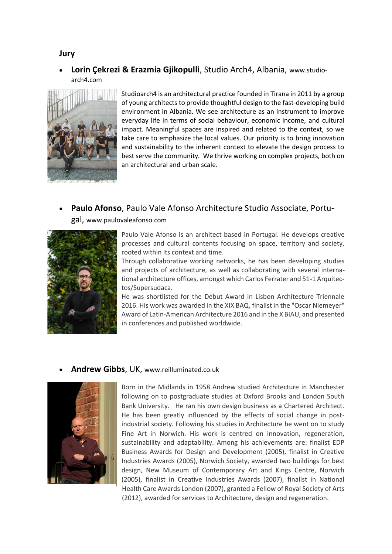#### **Jury**

• **Lorin Çekrezi & Erazmia Gjikopulli**, Studio Arch4, Albania, www.studioarch4.com



Studioarch4 is an architectural practice founded in Tirana in 2011 by a group of young architects to provide thoughtful design to the fast-developing build environment in Albania. We see architecture as an instrument to improve everyday life in terms of social behaviour, economic income, and cultural impact. Meaningful spaces are inspired and related to the context, so we take care to emphasize the local values. Our priority is to bring innovation and sustainability to the inherent context to elevate the design process to best serve the community. We thrive working on complex projects, both on an architectural and urban scale.

#### • **Paulo Afonso**, Paulo Vale Afonso Architecture Studio Associate, Portu-

gal, www.paulovaleafonso.com



Paulo Vale Afonso is an architect based in Portugal. He develops creative processes and cultural contents focusing on space, territory and society, rooted within its context and time.

Through collaborative working networks, he has been developing studies and projects of architecture, as well as collaborating with several international architecture offices, amongst which Carlos Ferrater and 51-1 Arquitectos/Supersudaca.

He was shortlisted for the Début Award in Lisbon Architecture Triennale 2016. His work was awarded in the XIX BAQ, finalist in the "Oscar Niemeyer" Award of Latin-American Architecture 2016 and in the X BIAU, and presented in conferences and published worldwide.

#### • **Andrew Gibbs**, UK, [www.reilluminated.co.uk](http://www.reilluminated.co.uk/)



Born in the Midlands in 1958 Andrew studied Architecture in Manchester following on to postgraduate studies at Oxford Brooks and London South Bank University. He ran his own design business as a Chartered Architect. He has been greatly influenced by the effects of social change in postindustrial society. Following his studies in Architecture he went on to study Fine Art in Norwich. His work is centred on innovation, regeneration, sustainability and adaptability. Among his achievements are: finalist EDP Business Awards for Design and Development (2005), finalist in Creative Industries Awards (2005), Norwich Society, awarded two buildings for best design, New Museum of Contemporary Art and Kings Centre, Norwich (2005), finalist in Creative Industries Awards (2007), finalist in National Health Care Awards London (2007), granted a Fellow of Royal Society of Arts (2012), awarded for services to Architecture, design and regeneration.